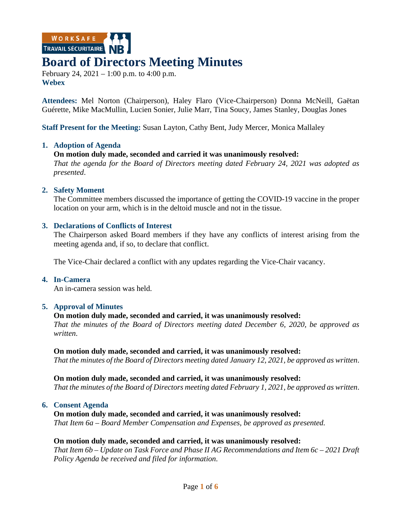WORKSAFE

# **Board of Directors Meeting Minutes**

February 24, 2021 – 1:00 p.m. to 4:00 p.m. **Webex**

**Attendees:** Mel Norton (Chairperson), Haley Flaro (Vice-Chairperson) Donna McNeill, Gaëtan Guérette, Mike MacMullin, Lucien Sonier, Julie Marr, Tina Soucy, James Stanley, Douglas Jones

**Staff Present for the Meeting:** Susan Layton, Cathy Bent, Judy Mercer, Monica Mallaley

#### **1. Adoption of Agenda**

#### **On motion duly made, seconded and carried it was unanimously resolved:**

*That the agenda for the Board of Directors meeting dated February 24, 2021 was adopted as presented*.

#### **2. Safety Moment**

The Committee members discussed the importance of getting the COVID-19 vaccine in the proper location on your arm, which is in the deltoid muscle and not in the tissue.

#### **3. Declarations of Conflicts of Interest**

The Chairperson asked Board members if they have any conflicts of interest arising from the meeting agenda and, if so, to declare that conflict.

The Vice-Chair declared a conflict with any updates regarding the Vice-Chair vacancy.

#### **4. In-Camera**

An in-camera session was held.

#### **5. Approval of Minutes**

#### **On motion duly made, seconded and carried, it was unanimously resolved:**

*That the minutes of the Board of Directors meeting dated December 6, 2020, be approved as written*.

#### **On motion duly made, seconded and carried, it was unanimously resolved:**

*That the minutes of the Board of Directors meeting dated January 12, 2021, be approved as written*.

**On motion duly made, seconded and carried, it was unanimously resolved:**

*That the minutes of the Board of Directors meeting dated February 1, 2021, be approved as written*.

#### **6. Consent Agenda**

#### **On motion duly made, seconded and carried, it was unanimously resolved:**

*That Item 6a – Board Member Compensation and Expenses, be approved as presented.*

#### **On motion duly made, seconded and carried, it was unanimously resolved:**

*That Item 6b – Update on Task Force and Phase II AG Recommendations and Item 6c – 2021 Draft Policy Agenda be received and filed for information*.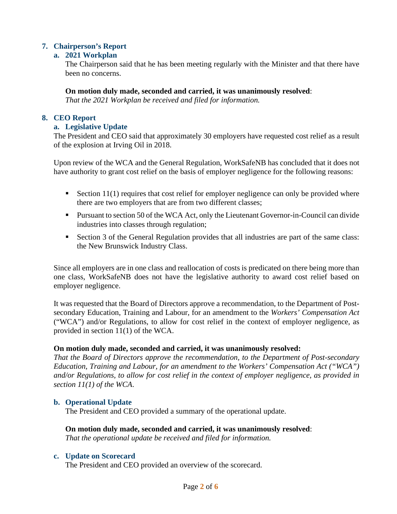# **7. Chairperson's Report**

# **a. 2021 Workplan**

The Chairperson said that he has been meeting regularly with the Minister and that there have been no concerns.

**On motion duly made, seconded and carried, it was unanimously resolved**:

*That the 2021 Workplan be received and filed for information.*

# **8. CEO Report**

# **a. Legislative Update**

The President and CEO said that approximately 30 employers have requested cost relief as a result of the explosion at Irving Oil in 2018.

Upon review of the WCA and the General Regulation, WorkSafeNB has concluded that it does not have authority to grant cost relief on the basis of employer negligence for the following reasons:

- Section  $11(1)$  requires that cost relief for employer negligence can only be provided where there are two employers that are from two different classes;
- Pursuant to section 50 of the WCA Act, only the Lieutenant Governor-in-Council can divide industries into classes through regulation;
- Section 3 of the General Regulation provides that all industries are part of the same class: the New Brunswick Industry Class.

Since all employers are in one class and reallocation of costs is predicated on there being more than one class, WorkSafeNB does not have the legislative authority to award cost relief based on employer negligence.

It was requested that the Board of Directors approve a recommendation, to the Department of Postsecondary Education, Training and Labour, for an amendment to the *Workers' Compensation Act* ("WCA") and/or Regulations, to allow for cost relief in the context of employer negligence, as provided in section 11(1) of the WCA.

# **On motion duly made, seconded and carried, it was unanimously resolved:**

*That the Board of Directors approve the recommendation, to the Department of Post-secondary Education, Training and Labour, for an amendment to the Workers' Compensation Act ("WCA") and/or Regulations, to allow for cost relief in the context of employer negligence, as provided in section 11(1) of the WCA*.

#### **b. Operational Update**

The President and CEO provided a summary of the operational update.

#### **On motion duly made, seconded and carried, it was unanimously resolved**: *That the operational update be received and filed for information.*

#### **c. Update on Scorecard**

The President and CEO provided an overview of the scorecard.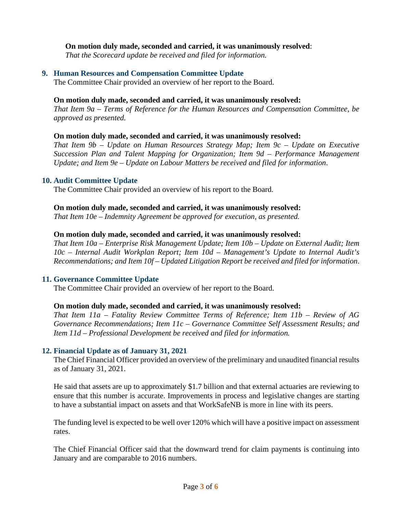#### **On motion duly made, seconded and carried, it was unanimously resolved**:

*That the Scorecard update be received and filed for information.*

### **9. Human Resources and Compensation Committee Update**

The Committee Chair provided an overview of her report to the Board.

#### **On motion duly made, seconded and carried, it was unanimously resolved:**

*That Item 9a – Terms of Reference for the Human Resources and Compensation Committee, be approved as presented.*

#### **On motion duly made, seconded and carried, it was unanimously resolved:**

*That Item 9b – Update on Human Resources Strategy Map; Item 9c – Update on Executive Succession Plan and Talent Mapping for Organization; Item 9d – Performance Management Update; and Item 9e – Update on Labour Matters be received and filed for information*.

#### **10. Audit Committee Update**

The Committee Chair provided an overview of his report to the Board.

#### **On motion duly made, seconded and carried, it was unanimously resolved:**

*That Item 10e – Indemnity Agreement be approved for execution, as presented.*

#### **On motion duly made, seconded and carried, it was unanimously resolved:**

*That Item 10a – Enterprise Risk Management Update; Item 10b – Update on External Audit; Item 10c – Internal Audit Workplan Report; Item 10d – Management's Update to Internal Audit's Recommendations; and Item 10f – Updated Litigation Report be received and filed for information*.

#### **11. Governance Committee Update**

The Committee Chair provided an overview of her report to the Board.

#### **On motion duly made, seconded and carried, it was unanimously resolved:**

*That Item 11a – Fatality Review Committee Terms of Reference; Item 11b – Review of AG Governance Recommendations; Item 11c – Governance Committee Self Assessment Results; and Item 11d – Professional Development be received and filed for information.* 

#### **12. Financial Update as of January 31, 2021**

The Chief Financial Officer provided an overview of the preliminary and unaudited financial results as of January 31, 2021.

He said that assets are up to approximately \$1.7 billion and that external actuaries are reviewing to ensure that this number is accurate. Improvements in process and legislative changes are starting to have a substantial impact on assets and that WorkSafeNB is more in line with its peers.

The funding level is expected to be well over 120% which will have a positive impact on assessment rates.

The Chief Financial Officer said that the downward trend for claim payments is continuing into January and are comparable to 2016 numbers.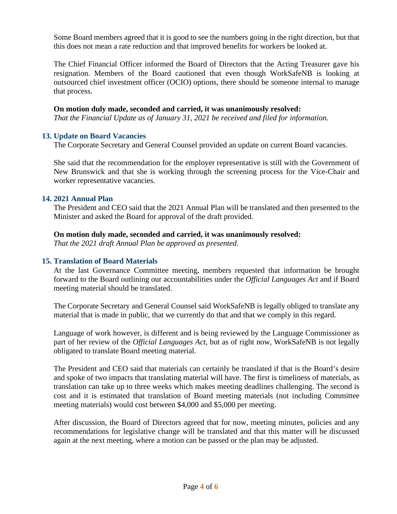Some Board members agreed that it is good to see the numbers going in the right direction, but that this does not mean a rate reduction and that improved benefits for workers be looked at.

The Chief Financial Officer informed the Board of Directors that the Acting Treasurer gave his resignation. Members of the Board cautioned that even though WorkSafeNB is looking at outsourced chief investment officer (OCIO) options, there should be someone internal to manage that process.

# **On motion duly made, seconded and carried, it was unanimously resolved:**

*That the Financial Update as of January 31, 2021 be received and filed for information.*

#### **13. Update on Board Vacancies**

The Corporate Secretary and General Counsel provided an update on current Board vacancies.

She said that the recommendation for the employer representative is still with the Government of New Brunswick and that she is working through the screening process for the Vice-Chair and worker representative vacancies.

# **14. 2021 Annual Plan**

The President and CEO said that the 2021 Annual Plan will be translated and then presented to the Minister and asked the Board for approval of the draft provided.

#### **On motion duly made, seconded and carried, it was unanimously resolved:**

*That the 2021 draft Annual Plan be approved as presented.*

#### **15. Translation of Board Materials**

At the last Governance Committee meeting, members requested that information be brought forward to the Board outlining our accountabilities under the *Official Languages Act* and if Board meeting material should be translated.

The Corporate Secretary and General Counsel said WorkSafeNB is legally obliged to translate any material that is made in public, that we currently do that and that we comply in this regard.

Language of work however, is different and is being reviewed by the Language Commissioner as part of her review of the *Official Languages Act*, but as of right now, WorkSafeNB is not legally obligated to translate Board meeting material.

The President and CEO said that materials can certainly be translated if that is the Board's desire and spoke of two impacts that translating material will have. The first is timeliness of materials, as translation can take up to three weeks which makes meeting deadlines challenging. The second is cost and it is estimated that translation of Board meeting materials (not including Committee meeting materials) would cost between \$4,000 and \$5,000 per meeting.

After discussion, the Board of Directors agreed that for now, meeting minutes, policies and any recommendations for legislative change will be translated and that this matter will be discussed again at the next meeting, where a motion can be passed or the plan may be adjusted.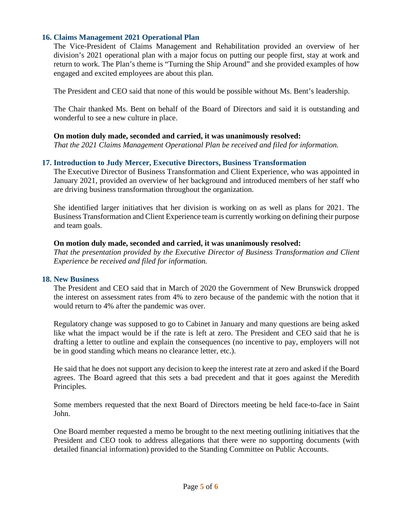# **16. Claims Management 2021 Operational Plan**

The Vice-President of Claims Management and Rehabilitation provided an overview of her division's 2021 operational plan with a major focus on putting our people first, stay at work and return to work. The Plan's theme is "Turning the Ship Around" and she provided examples of how engaged and excited employees are about this plan.

The President and CEO said that none of this would be possible without Ms. Bent's leadership.

The Chair thanked Ms. Bent on behalf of the Board of Directors and said it is outstanding and wonderful to see a new culture in place.

#### **On motion duly made, seconded and carried, it was unanimously resolved:**

*That the 2021 Claims Management Operational Plan be received and filed for information.*

# **17. Introduction to Judy Mercer, Executive Directors, Business Transformation**

The Executive Director of Business Transformation and Client Experience, who was appointed in January 2021, provided an overview of her background and introduced members of her staff who are driving business transformation throughout the organization.

She identified larger initiatives that her division is working on as well as plans for 2021. The Business Transformation and Client Experience team is currently working on defining their purpose and team goals.

#### **On motion duly made, seconded and carried, it was unanimously resolved:**

*That the presentation provided by the Executive Director of Business Transformation and Client Experience be received and filed for information.*

#### **18. New Business**

The President and CEO said that in March of 2020 the Government of New Brunswick dropped the interest on assessment rates from 4% to zero because of the pandemic with the notion that it would return to 4% after the pandemic was over.

Regulatory change was supposed to go to Cabinet in January and many questions are being asked like what the impact would be if the rate is left at zero. The President and CEO said that he is drafting a letter to outline and explain the consequences (no incentive to pay, employers will not be in good standing which means no clearance letter, etc.).

He said that he does not support any decision to keep the interest rate at zero and asked if the Board agrees. The Board agreed that this sets a bad precedent and that it goes against the Meredith Principles.

Some members requested that the next Board of Directors meeting be held face-to-face in Saint John.

One Board member requested a memo be brought to the next meeting outlining initiatives that the President and CEO took to address allegations that there were no supporting documents (with detailed financial information) provided to the Standing Committee on Public Accounts.